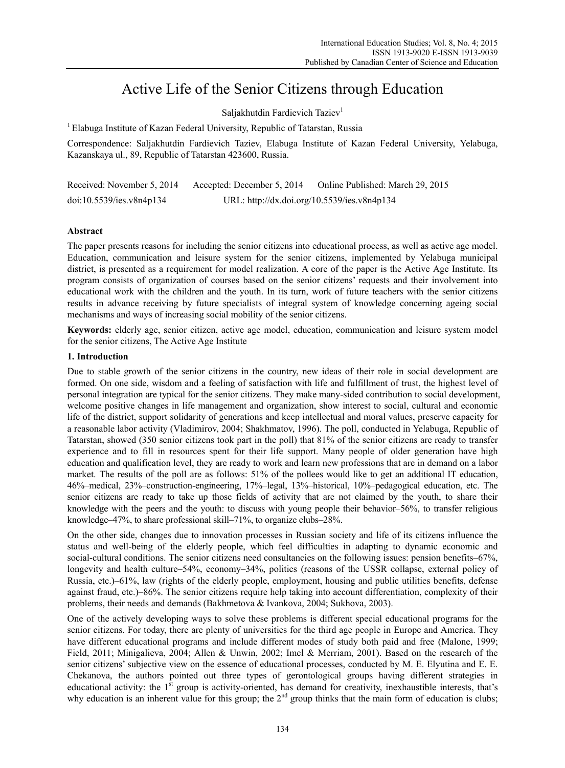# Active Life of the Senior Citizens through Education

Saljakhutdin Fardievich Taziev<sup>1</sup>

<sup>1</sup> Elabuga Institute of Kazan Federal University, Republic of Tatarstan, Russia

Correspondence: Saljakhutdin Fardievich Taziev, Elabuga Institute of Kazan Federal University, Yelabuga, Kazanskaya ul., 89, Republic of Tatarstan 423600, Russia.

| Received: November 5, 2014 | Accepted: December 5, 2014                  | Online Published: March 29, 2015 |
|----------------------------|---------------------------------------------|----------------------------------|
| doi:10.5539/ies.v8n4p134   | URL: http://dx.doi.org/10.5539/ies.v8n4p134 |                                  |

## **Abstract**

The paper presents reasons for including the senior citizens into educational process, as well as active age model. Education, communication and leisure system for the senior citizens, implemented by Yelabuga municipal district, is presented as a requirement for model realization. A core of the paper is the Active Age Institute. Its program consists of organization of courses based on the senior citizens' requests and their involvement into educational work with the children and the youth. In its turn, work of future teachers with the senior citizens results in advance receiving by future specialists of integral system of knowledge concerning ageing social mechanisms and ways of increasing social mobility of the senior citizens.

**Keywords:** elderly age, senior citizen, active age model, education, communication and leisure system model for the senior citizens, The Active Age Institute

## **1. Introduction**

Due to stable growth of the senior citizens in the country, new ideas of their role in social development are formed. On one side, wisdom and a feeling of satisfaction with life and fulfillment of trust, the highest level of personal integration are typical for the senior citizens. They make many-sided contribution to social development, welcome positive changes in life management and organization, show interest to social, cultural and economic life of the district, support solidarity of generations and keep intellectual and moral values, preserve capacity for a reasonable labor activity (Vladimirov, 2004; Shakhmatov, 1996). The poll, conducted in Yelabuga, Republic of Tatarstan, showed (350 senior citizens took part in the poll) that 81% of the senior citizens are ready to transfer experience and to fill in resources spent for their life support. Many people of older generation have high education and qualification level, they are ready to work and learn new professions that are in demand on a labor market. The results of the poll are as follows: 51% of the pollees would like to get an additional IT education, 46%–medical, 23%–construction-engineering, 17%–legal, 13%–historical, 10%–pedagogical education, etc. The senior citizens are ready to take up those fields of activity that are not claimed by the youth, to share their knowledge with the peers and the youth: to discuss with young people their behavior–56%, to transfer religious knowledge–47%, to share professional skill–71%, to organize clubs–28%.

On the other side, changes due to innovation processes in Russian society and life of its citizens influence the status and well-being of the elderly people, which feel difficulties in adapting to dynamic economic and social-cultural conditions. The senior citizens need consultancies on the following issues: pension benefits–67%, longevity and health culture–54%, economy–34%, politics (reasons of the USSR collapse, external policy of Russia, etc.)–61%, law (rights of the elderly people, employment, housing and public utilities benefits, defense against fraud, etc.)–86%. The senior citizens require help taking into account differentiation, complexity of their problems, their needs and demands (Bakhmetova & Ivankova, 2004; Sukhova, 2003).

One of the actively developing ways to solve these problems is different special educational programs for the senior citizens. For today, there are plenty of universities for the third age people in Europe and America. They have different educational programs and include different modes of study both paid and free (Malone, 1999; Field, 2011; Minigalieva, 2004; Allen & Unwin, 2002; Imel & Merriam, 2001). Based on the research of the senior citizens' subjective view on the essence of educational processes, conducted by M. E. Elyutina and E. E. Chekanova, the authors pointed out three types of gerontological groups having different strategies in educational activity: the 1<sup>st</sup> group is activity-oriented, has demand for creativity, inexhaustible interests, that's why education is an inherent value for this group; the  $2<sup>nd</sup>$  group thinks that the main form of education is clubs;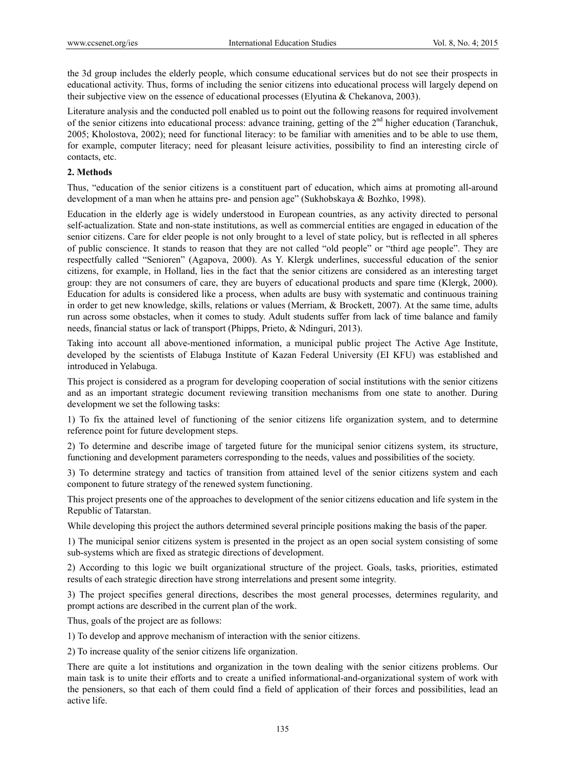the 3d group includes the elderly people, which consume educational services but do not see their prospects in educational activity. Thus, forms of including the senior citizens into educational process will largely depend on their subjective view on the essence of educational processes (Elyutina & Chekanova, 2003).

Literature analysis and the conducted poll enabled us to point out the following reasons for required involvement of the senior citizens into educational process: advance training, getting of the  $2<sup>nd</sup>$  higher education (Taranchuk, 2005; Kholostova, 2002); need for functional literacy: to be familiar with amenities and to be able to use them, for example, computer literacy; need for pleasant leisure activities, possibility to find an interesting circle of contacts, etc.

## **2. Methods**

Thus, "education of the senior citizens is a constituent part of education, which aims at promoting all-around development of a man when he attains pre- and pension age" (Sukhobskaya & Bozhko, 1998).

Education in the elderly age is widely understood in European countries, as any activity directed to personal self-actualization. State and non-state institutions, as well as commercial entities are engaged in education of the senior citizens. Care for elder people is not only brought to a level of state policy, but is reflected in all spheres of public conscience. It stands to reason that they are not called "old people" or "third age people". They are respectfully called "Senioren" (Agapova, 2000). As Y. Klergk underlines, successful education of the senior citizens, for example, in Holland, lies in the fact that the senior citizens are considered as an interesting target group: they are not consumers of care, they are buyers of educational products and spare time (Klergk, 2000). Education for adults is considered like a process, when adults are busy with systematic and continuous training in order to get new knowledge, skills, relations or values (Merriam, & Brockett, 2007). At the same time, adults run across some obstacles, when it comes to study. Adult students suffer from lack of time balance and family needs, financial status or lack of transport (Phipps, Prieto, & Ndinguri, 2013).

Taking into account all above-mentioned information, a municipal public project The Active Age Institute, developed by the scientists of Elabuga Institute of Kazan Federal University (EI KFU) was established and introduced in Yelabuga.

This project is considered as a program for developing cooperation of social institutions with the senior citizens and as an important strategic document reviewing transition mechanisms from one state to another. During development we set the following tasks:

1) To fix the attained level of functioning of the senior citizens life organization system, and to determine reference point for future development steps.

2) To determine and describe image of targeted future for the municipal senior citizens system, its structure, functioning and development parameters corresponding to the needs, values and possibilities of the society.

3) To determine strategy and tactics of transition from attained level of the senior citizens system and each component to future strategy of the renewed system functioning.

This project presents one of the approaches to development of the senior citizens education and life system in the Republic of Tatarstan.

While developing this project the authors determined several principle positions making the basis of the paper.

1) The municipal senior citizens system is presented in the project as an open social system consisting of some sub-systems which are fixed as strategic directions of development.

2) According to this logic we built organizational structure of the project. Goals, tasks, priorities, estimated results of each strategic direction have strong interrelations and present some integrity.

3) The project specifies general directions, describes the most general processes, determines regularity, and prompt actions are described in the current plan of the work.

Thus, goals of the project are as follows:

1) To develop and approve mechanism of interaction with the senior citizens.

2) To increase quality of the senior citizens life organization.

There are quite a lot institutions and organization in the town dealing with the senior citizens problems. Our main task is to unite their efforts and to create a unified informational-and-organizational system of work with the pensioners, so that each of them could find a field of application of their forces and possibilities, lead an active life.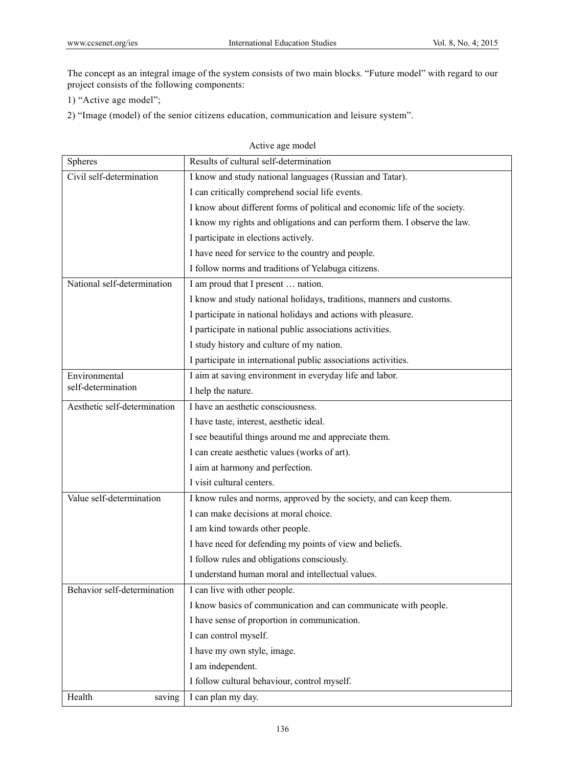The concept as an integral image of the system consists of two main blocks. "Future model" with regard to our project consists of the following components:

1) "Active age model";

2) "Image (model) of the senior citizens education, communication and leisure system".

|                              | Active age model                                                            |
|------------------------------|-----------------------------------------------------------------------------|
| Spheres                      | Results of cultural self-determination                                      |
| Civil self-determination     | I know and study national languages (Russian and Tatar).                    |
|                              | I can critically comprehend social life events.                             |
|                              | I know about different forms of political and economic life of the society. |
|                              | I know my rights and obligations and can perform them. I observe the law.   |
|                              | I participate in elections actively.                                        |
|                              | I have need for service to the country and people.                          |
|                              | I follow norms and traditions of Yelabuga citizens.                         |
| National self-determination  | I am proud that I present  nation.                                          |
|                              | I know and study national holidays, traditions, manners and customs.        |
|                              | I participate in national holidays and actions with pleasure.               |
|                              | I participate in national public associations activities.                   |
|                              | I study history and culture of my nation.                                   |
|                              | I participate in international public associations activities.              |
| Environmental                | I aim at saving environment in everyday life and labor.                     |
| self-determination           | I help the nature.                                                          |
| Aesthetic self-determination | I have an aesthetic consciousness.                                          |
|                              | I have taste, interest, aesthetic ideal.                                    |
|                              | I see beautiful things around me and appreciate them.                       |
|                              | I can create aesthetic values (works of art).                               |
|                              | I aim at harmony and perfection.                                            |
|                              | I visit cultural centers.                                                   |
| Value self-determination     | I know rules and norms, approved by the society, and can keep them.         |
|                              | I can make decisions at moral choice.                                       |
|                              | I am kind towards other people.                                             |
|                              | I have need for defending my points of view and beliefs.                    |
|                              | I follow rules and obligations consciously.                                 |
|                              | I understand human moral and intellectual values.                           |
| Behavior self-determination  | I can live with other people.                                               |
|                              | I know basics of communication and can communicate with people.             |
|                              | I have sense of proportion in communication.                                |
|                              | I can control myself.                                                       |
|                              | I have my own style, image.                                                 |
|                              | I am independent.                                                           |
|                              | I follow cultural behaviour, control myself.                                |
| Health<br>saving             | I can plan my day.                                                          |

136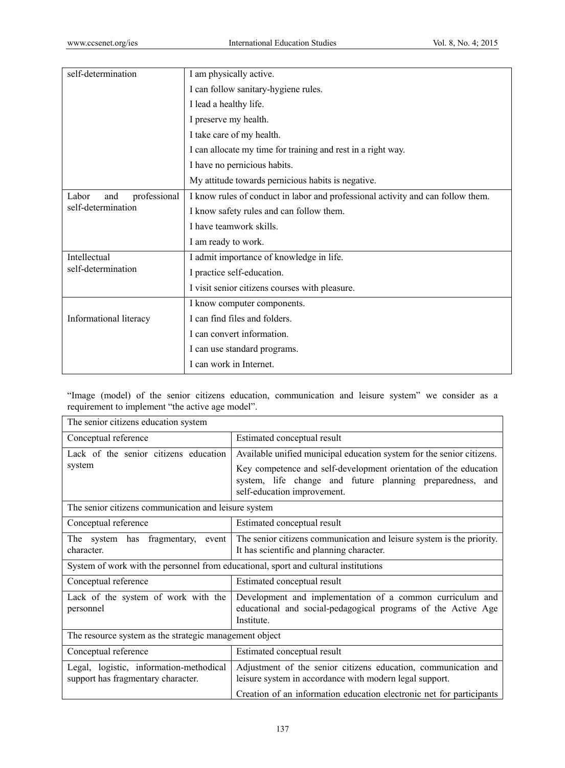| self-determination                                 | I am physically active.                                                         |  |
|----------------------------------------------------|---------------------------------------------------------------------------------|--|
|                                                    | I can follow sanitary-hygiene rules.                                            |  |
|                                                    | I lead a healthy life.                                                          |  |
|                                                    | I preserve my health.                                                           |  |
|                                                    | I take care of my health.                                                       |  |
|                                                    | I can allocate my time for training and rest in a right way.                    |  |
|                                                    | I have no pernicious habits.                                                    |  |
|                                                    | My attitude towards pernicious habits is negative.                              |  |
| professional<br>Labor<br>and<br>self-determination | I know rules of conduct in labor and professional activity and can follow them. |  |
|                                                    | I know safety rules and can follow them.                                        |  |
|                                                    | I have teamwork skills.                                                         |  |
|                                                    | I am ready to work.                                                             |  |
| Intellectual<br>self-determination                 | I admit importance of knowledge in life.                                        |  |
|                                                    | I practice self-education.                                                      |  |
|                                                    | I visit senior citizens courses with pleasure.                                  |  |
|                                                    | I know computer components.                                                     |  |
| Informational literacy                             | I can find files and folders.                                                   |  |
|                                                    | I can convert information.                                                      |  |
|                                                    | I can use standard programs.                                                    |  |
|                                                    | I can work in Internet.                                                         |  |

"Image (model) of the senior citizens education, communication and leisure system" we consider as a requirement to implement "the active age model".

| The senior citizens education system                                                |                                                                                                                                                              |  |  |
|-------------------------------------------------------------------------------------|--------------------------------------------------------------------------------------------------------------------------------------------------------------|--|--|
| Conceptual reference                                                                | Estimated conceptual result                                                                                                                                  |  |  |
| Lack of the senior citizens education<br>system                                     | Available unified municipal education system for the senior citizens.                                                                                        |  |  |
|                                                                                     | Key competence and self-development orientation of the education<br>system, life change and future planning preparedness, and<br>self-education improvement. |  |  |
| The senior citizens communication and leisure system                                |                                                                                                                                                              |  |  |
| Conceptual reference                                                                | Estimated conceptual result                                                                                                                                  |  |  |
| The system has<br>fragmentary,<br>event  <br>character.                             | The senior citizens communication and leisure system is the priority.<br>It has scientific and planning character.                                           |  |  |
| System of work with the personnel from educational, sport and cultural institutions |                                                                                                                                                              |  |  |
| Conceptual reference                                                                | Estimated conceptual result                                                                                                                                  |  |  |
| Lack of the system of work with the<br>personnel                                    | Development and implementation of a common curriculum and<br>educational and social-pedagogical programs of the Active Age<br>Institute.                     |  |  |
| The resource system as the strategic management object                              |                                                                                                                                                              |  |  |
| Conceptual reference                                                                | Estimated conceptual result                                                                                                                                  |  |  |
| Legal, logistic, information-methodical<br>support has fragmentary character.       | Adjustment of the senior citizens education, communication and<br>leisure system in accordance with modern legal support.                                    |  |  |
|                                                                                     | Creation of an information education electronic net for participants                                                                                         |  |  |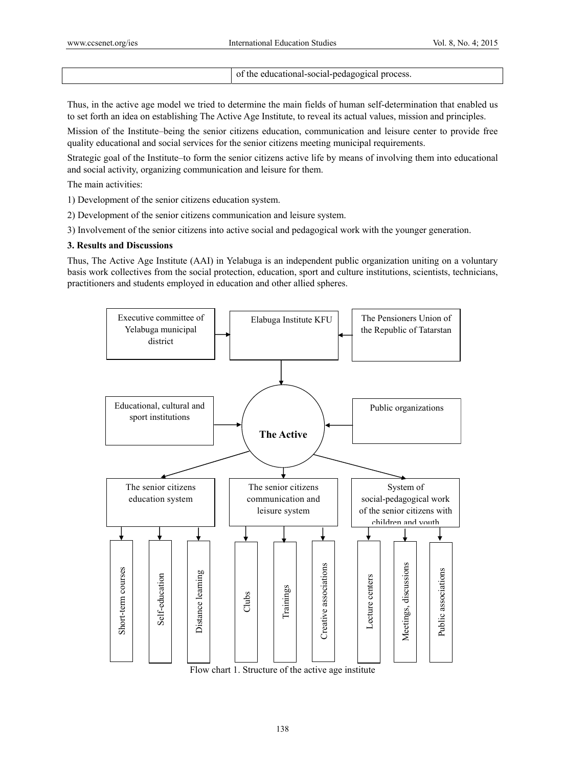of the educational-social-pedagogical process.

Thus, in the active age model we tried to determine the main fields of human self-determination that enabled us to set forth an idea on establishing The Active Age Institute, to reveal its actual values, mission and principles.

Mission of the Institute–being the senior citizens education, communication and leisure center to provide free quality educational and social services for the senior citizens meeting municipal requirements.

Strategic goal of the Institute–to form the senior citizens active life by means of involving them into educational and social activity, organizing communication and leisure for them.

The main activities:

- 1) Development of the senior citizens education system.
- 2) Development of the senior citizens communication and leisure system.
- 3) Involvement of the senior citizens into active social and pedagogical work with the younger generation.

#### **3. Results and Discussions**

Thus, The Active Age Institute (AAI) in Yelabuga is an independent public organization uniting on a voluntary basis work collectives from the social protection, education, sport and culture institutions, scientists, technicians, practitioners and students employed in education and other allied spheres.



Flow chart 1. Structure of the active age institute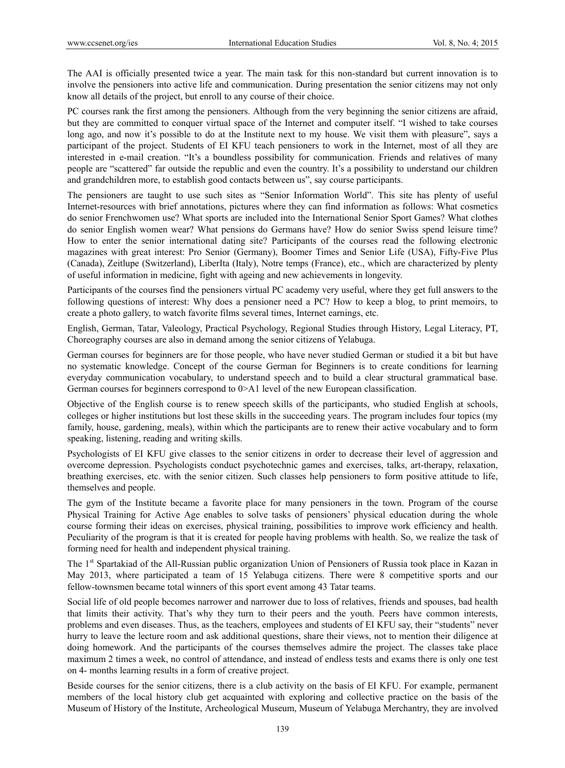The AAI is officially presented twice a year. The main task for this non-standard but current innovation is to involve the pensioners into active life and communication. During presentation the senior citizens may not only know all details of the project, but enroll to any course of their choice.

PC courses rank the first among the pensioners. Although from the very beginning the senior citizens are afraid, but they are committed to conquer virtual space of the Internet and computer itself. "I wished to take courses long ago, and now it's possible to do at the Institute next to my house. We visit them with pleasure", says a participant of the project. Students of EI KFU teach pensioners to work in the Internet, most of all they are interested in e-mail creation. "It's a boundless possibility for communication. Friends and relatives of many people are "scattered" far outside the republic and even the country. It's a possibility to understand our children and grandchildren more, to establish good contacts between us", say course participants.

The pensioners are taught to use such sites as "Senior Information World". This site has plenty of useful Internet-resources with brief annotations, pictures where they can find information as follows: What cosmetics do senior Frenchwomen use? What sports are included into the International Senior Sport Games? What clothes do senior English women wear? What pensions do Germans have? How do senior Swiss spend leisure time? How to enter the senior international dating site? Participants of the courses read the following electronic magazines with great interest: Pro Senior (Germany), Boomer Times and Senior Life (USA), Fifty-Five Plus (Canada), Zeitlupe (Switzerland), LiberIta (Italy), Notre temps (France), etc., which are characterized by plenty of useful information in medicine, fight with ageing and new achievements in longevity.

Participants of the courses find the pensioners virtual PC academy very useful, where they get full answers to the following questions of interest: Why does a pensioner need a PC? How to keep a blog, to print memoirs, to create a photo gallery, to watch favorite films several times, Internet earnings, etc.

English, German, Tatar, Valeology, Practical Psychology, Regional Studies through History, Legal Literacy, PT, Choreography courses are also in demand among the senior citizens of Yelabuga.

German courses for beginners are for those people, who have never studied German or studied it a bit but have no systematic knowledge. Concept of the course German for Beginners is to create conditions for learning everyday communication vocabulary, to understand speech and to build a clear structural grammatical base. German courses for beginners correspond to  $0 > A1$  level of the new European classification.

Objective of the English course is to renew speech skills of the participants, who studied English at schools, colleges or higher institutions but lost these skills in the succeeding years. The program includes four topics (my family, house, gardening, meals), within which the participants are to renew their active vocabulary and to form speaking, listening, reading and writing skills.

Psychologists of EI KFU give classes to the senior citizens in order to decrease their level of aggression and overcome depression. Psychologists conduct psychotechnic games and exercises, talks, art-therapy, relaxation, breathing exercises, etc. with the senior citizen. Such classes help pensioners to form positive attitude to life, themselves and people.

The gym of the Institute became a favorite place for many pensioners in the town. Program of the course Physical Training for Active Age enables to solve tasks of pensioners' physical education during the whole course forming their ideas on exercises, physical training, possibilities to improve work efficiency and health. Peculiarity of the program is that it is created for people having problems with health. So, we realize the task of forming need for health and independent physical training.

The 1st Spartakiad of the All-Russian public organization Union of Pensioners of Russia took place in Kazan in May 2013, where participated a team of 15 Yelabuga citizens. There were 8 competitive sports and our fellow-townsmen became total winners of this sport event among 43 Tatar teams.

Social life of old people becomes narrower and narrower due to loss of relatives, friends and spouses, bad health that limits their activity. That's why they turn to their peers and the youth. Peers have common interests, problems and even diseases. Thus, as the teachers, employees and students of EI KFU say, their "students" never hurry to leave the lecture room and ask additional questions, share their views, not to mention their diligence at doing homework. And the participants of the courses themselves admire the project. The classes take place maximum 2 times a week, no control of attendance, and instead of endless tests and exams there is only one test on 4- months learning results in a form of creative project.

Beside courses for the senior citizens, there is a club activity on the basis of EI KFU. For example, permanent members of the local history club get acquainted with exploring and collective practice on the basis of the Museum of History of the Institute, Archeological Museum, Museum of Yelabuga Merchantry, they are involved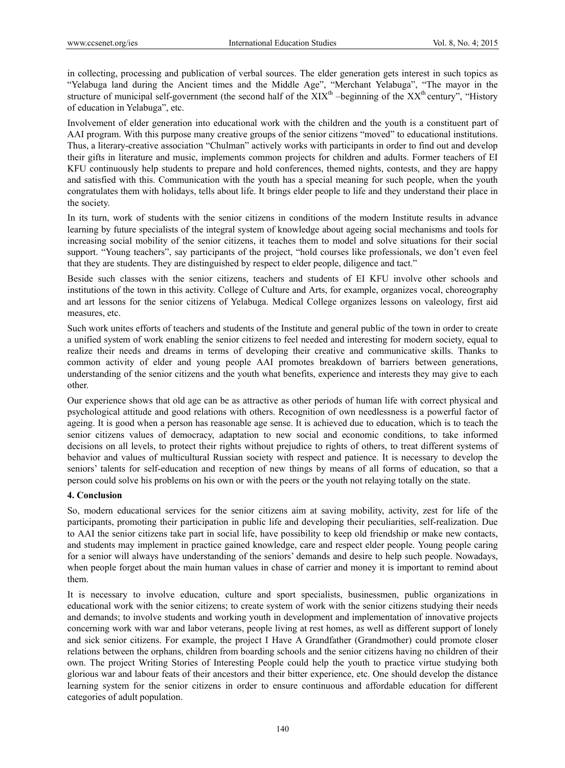in collecting, processing and publication of verbal sources. The elder generation gets interest in such topics as "Yelabuga land during the Ancient times and the Middle Age", "Merchant Yelabuga", "The mayor in the structure of municipal self-government (the second half of the  $XIX<sup>th</sup>$  –beginning of the  $XX<sup>th</sup>$  century", "History" of education in Yelabuga", etc.

Involvement of elder generation into educational work with the children and the youth is a constituent part of AAI program. With this purpose many creative groups of the senior citizens "moved" to educational institutions. Thus, a literary-creative association "Chulman" actively works with participants in order to find out and develop their gifts in literature and music, implements common projects for children and adults. Former teachers of EI KFU continuously help students to prepare and hold conferences, themed nights, contests, and they are happy and satisfied with this. Communication with the youth has a special meaning for such people, when the youth congratulates them with holidays, tells about life. It brings elder people to life and they understand their place in the society.

In its turn, work of students with the senior citizens in conditions of the modern Institute results in advance learning by future specialists of the integral system of knowledge about ageing social mechanisms and tools for increasing social mobility of the senior citizens, it teaches them to model and solve situations for their social support. "Young teachers", say participants of the project, "hold courses like professionals, we don't even feel that they are students. They are distinguished by respect to elder people, diligence and tact."

Beside such classes with the senior citizens, teachers and students of EI KFU involve other schools and institutions of the town in this activity. College of Culture and Arts, for example, organizes vocal, choreography and art lessons for the senior citizens of Yelabuga. Medical College organizes lessons on valeology, first aid measures, etc.

Such work unites efforts of teachers and students of the Institute and general public of the town in order to create a unified system of work enabling the senior citizens to feel needed and interesting for modern society, equal to realize their needs and dreams in terms of developing their creative and communicative skills. Thanks to common activity of elder and young people AAI promotes breakdown of barriers between generations, understanding of the senior citizens and the youth what benefits, experience and interests they may give to each other.

Our experience shows that old age can be as attractive as other periods of human life with correct physical and psychological attitude and good relations with others. Recognition of own needlessness is a powerful factor of ageing. It is good when a person has reasonable age sense. It is achieved due to education, which is to teach the senior citizens values of democracy, adaptation to new social and economic conditions, to take informed decisions on all levels, to protect their rights without prejudice to rights of others, to treat different systems of behavior and values of multicultural Russian society with respect and patience. It is necessary to develop the seniors' talents for self-education and reception of new things by means of all forms of education, so that a person could solve his problems on his own or with the peers or the youth not relaying totally on the state.

## **4. Conclusion**

So, modern educational services for the senior citizens aim at saving mobility, activity, zest for life of the participants, promoting their participation in public life and developing their peculiarities, self-realization. Due to AAI the senior citizens take part in social life, have possibility to keep old friendship or make new contacts, and students may implement in practice gained knowledge, care and respect elder people. Young people caring for a senior will always have understanding of the seniors' demands and desire to help such people. Nowadays, when people forget about the main human values in chase of carrier and money it is important to remind about them.

It is necessary to involve education, culture and sport specialists, businessmen, public organizations in educational work with the senior citizens; to create system of work with the senior citizens studying their needs and demands; to involve students and working youth in development and implementation of innovative projects concerning work with war and labor veterans, people living at rest homes, as well as different support of lonely and sick senior citizens. For example, the project I Have A Grandfather (Grandmother) could promote closer relations between the orphans, children from boarding schools and the senior citizens having no children of their own. The project Writing Stories of Interesting People could help the youth to practice virtue studying both glorious war and labour feats of their ancestors and their bitter experience, etc. One should develop the distance learning system for the senior citizens in order to ensure continuous and affordable education for different categories of adult population.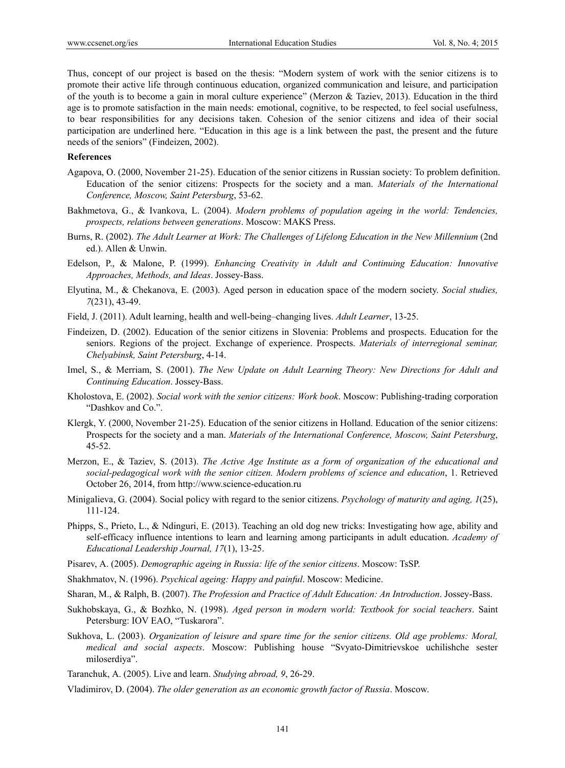Thus, concept of our project is based on the thesis: "Modern system of work with the senior citizens is to promote their active life through continuous education, organized communication and leisure, and participation of the youth is to become a gain in moral culture experience" (Merzon & Taziev, 2013). Education in the third age is to promote satisfaction in the main needs: emotional, cognitive, to be respected, to feel social usefulness, to bear responsibilities for any decisions taken. Cohesion of the senior citizens and idea of their social participation are underlined here. "Education in this age is a link between the past, the present and the future needs of the seniors" (Findeizen, 2002).

## **References**

- Agapova, О. (2000, November 21-25). Education of the senior citizens in Russian society: To problem definition. Education of the senior citizens: Prospects for the society and a man. *Materials of the International Conference, Moscow, Saint Petersburg*, 53-62.
- Bakhmetova, G., & Ivankova, L. (2004). *Modern problems of population ageing in the world: Tendencies, prospects, relations between generations*. Мoscow: МАKS Press.
- Burns, R. (2002). *The Adult Learner at Work: The Challenges of Lifelong Education in the New Millennium* (2nd ed.). Allen & Unwin.
- Edelson, P., & Malone, P. (1999). *Enhancing Creativity in Adult and Continuing Education: Innovative Approaches, Methods, and Ideas*. Jossey-Bass.
- Elyutina, M., & Chekanova, E. (2003). Aged person in education space of the modern society. *Social studies, 7*(231), 43-49.
- Field, J. (2011). Adult learning, health and well-being–changing lives. *Adult Learner*, 13-25.
- Findeizen, D. (2002). Education of the senior citizens in Slovenia: Problems and prospects. Education for the seniors. Regions of the project. Exchange of experience. Prospects. *Materials of interregional seminar, Chelyabinsk, Saint Petersburg*, 4-14.
- Imel, S., & Merriam, S. (2001). *The New Update on Adult Learning Theory: New Directions for Adult and Continuing Education*. Jossey-Bass.
- Kholostova, E. (2002). *Social work with the senior citizens: Work book*. Мoscow: Publishing-trading corporation "Dashkov and Co.".
- Klergk, Y. (2000, November 21-25). Education of the senior citizens in Holland. Education of the senior citizens: Prospects for the society and a man. *Materials of the International Conference, Moscow, Saint Petersburg*, 45-52.
- Merzon, Е., & Taziev, S. (2013). *The Active Age Institute as a form of organization of the educational and social-pedagogical work with the senior citizen. Modern problems of science and education*, 1. Retrieved October 26, 2014, from http://www.science-education.ru
- Minigalieva, G. (2004). Social policy with regard to the senior citizens. *Psychology of maturity and aging, 1*(25), 111-124.
- Phipps, S., Prieto, L., & Ndinguri, E. (2013). Teaching an old dog new tricks: Investigating how age, ability and self-efficacy influence intentions to learn and learning among participants in adult education. *Academy of Educational Leadership Journal, 17*(1), 13-25.
- Pisarev, А. (2005). *Demographic ageing in Russia: life of the senior citizens*. Moscow: TsSP.
- Shakhmatov, N. (1996). *Psychical ageing: Happy and painful*. Мoscow: Medicine.
- Sharan, M., & Ralph, B. (2007). *The Profession and Practice of Adult Education: An Introduction*. Jossey-Bass.
- Sukhobskaya, G., & Bozhko, N. (1998). *Aged person in modern world: Textbook for social teachers*. Saint Petersburg: IOV EAO, "Tuskarora".
- Sukhova, L. (2003). *Organization of leisure and spare time for the senior citizens. Old age problems: Moral, medical and social aspects*. Мoscow: Publishing house "Svyato-Dimitrievskoe uchilishche sester miloserdiya".
- Taranchuk, А. (2005). Live and learn. *Studying abroad, 9*, 26-29.
- Vladimirov, D. (2004). *The older generation as an economic growth factor of Russia*. Moscow.